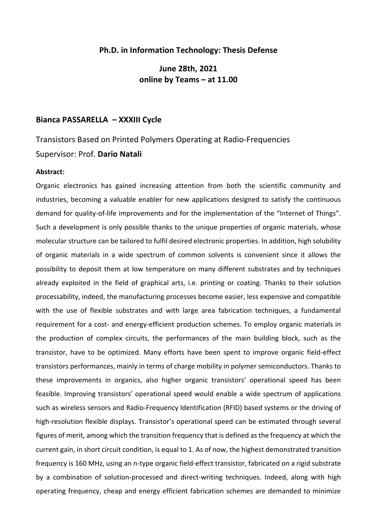## **Ph.D. in Information Technology: Thesis Defense**

**June 28th, 2021 online by Teams – at 11.00**

## **Bianca PASSARELLA – XXXIII Cycle**

## Transistors Based on Printed Polymers Operating at Radio-Frequencies Supervisor: Prof. **Dario Natali**

## **Abstract:**

Organic electronics has gained increasing attention from both the scientific community and industries, becoming a valuable enabler for new applications designed to satisfy the continuous demand for quality-of-life improvements and for the implementation of the "Internet of Things". Such a development is only possible thanks to the unique properties of organic materials, whose molecular structure can be tailored to fulfil desired electronic properties. In addition, high solubility of organic materials in a wide spectrum of common solvents is convenient since it allows the possibility to deposit them at low temperature on many different substrates and by techniques already exploited in the field of graphical arts, i.e. printing or coating. Thanks to their solution processability, indeed, the manufacturing processes become easier, less expensive and compatible with the use of flexible substrates and with large area fabrication techniques, a fundamental requirement for a cost- and energy-efficient production schemes. To employ organic materials in the production of complex circuits, the performances of the main building block, such as the transistor, have to be optimized. Many efforts have been spent to improve organic field-effect transistors performances, mainly in terms of charge mobility in polymer semiconductors. Thanks to these improvements in organics, also higher organic transistors' operational speed has been feasible. Improving transistors' operational speed would enable a wide spectrum of applications such as wireless sensors and Radio-Frequency Identification (RFID) based systems or the driving of high-resolution flexible displays. Transistor's operational speed can be estimated through several figures of merit, among which the transition frequency that is defined as the frequency at which the current gain, in short circuit condition, is equal to 1. As of now, the highest demonstrated transition frequency is 160 MHz, using an n-type organic field-effect transistor, fabricated on a rigid substrate by a combination of solution-processed and direct-writing techniques. Indeed, along with high operating frequency, cheap and energy efficient fabrication schemes are demanded to minimize